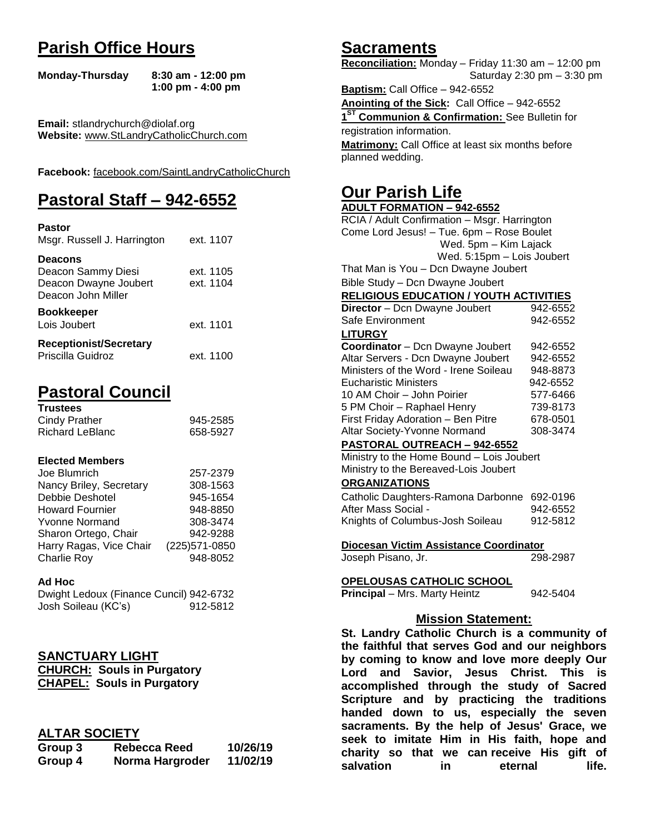# **Parish Office Hours**

```
Monday-Thursday 8:30 am - 12:00 pm
       1:00 pm - 4:00 pm
```
**Email:** stlandrychurch@diolaf.org **Website:** [www.StLandryCatholicChurch.com](http://www.stlandrycatholicchurch.com/)

**Facebook:** [facebook.com/SaintLandryCatholicChurch](http://facebook.com/SaintLandryCatholicChurch)

# **Pastoral Staff – 942-6552**

| <b>Pastor</b><br>Msgr. Russell J. Harrington                                        | ext. 1107              |
|-------------------------------------------------------------------------------------|------------------------|
| <b>Deacons</b><br>Deacon Sammy Diesi<br>Deacon Dwayne Joubert<br>Deacon John Miller | ext. 1105<br>ext. 1104 |
| <b>Bookkeeper</b><br>Lois Joubert                                                   | ext. 1101              |
| <b>Receptionist/Secretary</b><br>Priscilla Guidroz                                  | ext. 1100              |

# **Pastoral Council**

| <b>Trustees</b> |          |
|-----------------|----------|
| Cindy Prather   | 945-2585 |
| Richard LeBlanc | 658-5927 |

#### **Elected Members**

| Joe Blumrich            | 257-2379       |
|-------------------------|----------------|
| Nancy Briley, Secretary | 308-1563       |
| Debbie Deshotel         | 945-1654       |
| <b>Howard Fournier</b>  | 948-8850       |
| <b>Yvonne Normand</b>   | 308-3474       |
| Sharon Ortego, Chair    | 942-9288       |
| Harry Ragas, Vice Chair | (225) 571-0850 |
| Charlie Roy             | 948-8052       |

#### **Ad Hoc**

| Dwight Ledoux (Finance Cuncil) 942-6732 |          |
|-----------------------------------------|----------|
| Josh Soileau (KC's)                     | 912-5812 |

## **SANCTUARY LIGHT**

| <b>CHURCH: Souls in Purgatory</b> |
|-----------------------------------|
| <b>CHAPEL: Souls in Purgatory</b> |

## **ALTAR SOCIETY**

| Group 3 | <b>Rebecca Reed</b> | 10/26/19 |
|---------|---------------------|----------|
| Group 4 | Norma Hargroder     | 11/02/19 |

## **Sacraments**

**Reconciliation:** Monday – Friday 11:30 am – 12:00 pm Saturday 2:30 pm – 3:30 pm

**Baptism:** Call Office – 942-6552 **Anointing of the Sick:** Call Office – 942-6552 **1 ST Communion & Confirmation:** See Bulletin for registration information. **Matrimony:** Call Office at least six months before planned wedding.

# **Our Parish Life**

| <b>ADULT FORMATION - 942-6552</b>              |          |
|------------------------------------------------|----------|
| RCIA / Adult Confirmation - Msgr. Harrington   |          |
| Come Lord Jesus! - Tue. 6pm - Rose Boulet      |          |
| Wed. 5pm - Kim Lajack                          |          |
| Wed. 5:15pm - Lois Joubert                     |          |
| That Man is You - Dcn Dwayne Joubert           |          |
| Bible Study - Dcn Dwayne Joubert               |          |
| <b>RELIGIOUS EDUCATION / YOUTH ACTIVITIES</b>  |          |
| Director - Dcn Dwayne Joubert                  | 942-6552 |
| Safe Environment                               | 942-6552 |
| <b>LITURGY</b>                                 |          |
| Coordinator - Dcn Dwayne Joubert               | 942-6552 |
| Altar Servers - Dcn Dwayne Joubert             | 942-6552 |
| Ministers of the Word - Irene Soileau          | 948-8873 |
| <b>Eucharistic Ministers</b>                   | 942-6552 |
| 10 AM Choir - John Poirier                     | 577-6466 |
| 5 PM Choir - Raphael Henry                     | 739-8173 |
| First Friday Adoration - Ben Pitre             | 678-0501 |
| Altar Society-Yvonne Normand                   | 308-3474 |
| PASTORAL OUTREACH - 942-6552                   |          |
| Ministry to the Home Bound - Lois Joubert      |          |
| Ministry to the Bereaved-Lois Joubert          |          |
| <b>ORGANIZATIONS</b>                           |          |
| Catholic Daughters-Ramona Darbonne             | 692-0196 |
| After Mass Social -                            | 942-6552 |
| Knights of Columbus-Josh Soileau               | 912-5812 |
|                                                |          |
| Diocesan Victim Assistance Coordinator         |          |
| Joseph Pisano, Jr.                             | 298-2987 |
|                                                |          |
| <b>OPELOUSAS CATHOLIC SCHOOL</b>               |          |
| Principal - Mrs. Marty Heintz                  | 942-5404 |
|                                                |          |
| <b>Mission Statement:</b>                      |          |
| St. Landry Catholic Church is a community of   |          |
| the faithful that serves God and our neighbors |          |
| by coming to know and love more deeply Our     |          |
| Lord and Savior, Jesus Christ. This            | is       |
| accomplished through the study of Sacred       |          |
| Scripture and by practicing the traditions     |          |
| handed deun to us especially the seven         |          |

**handed down to us, especially the seven sacraments. By the help of Jesus' Grace, we seek to imitate Him in His faith, hope and charity so that we can receive His gift of salvation** in eternal life.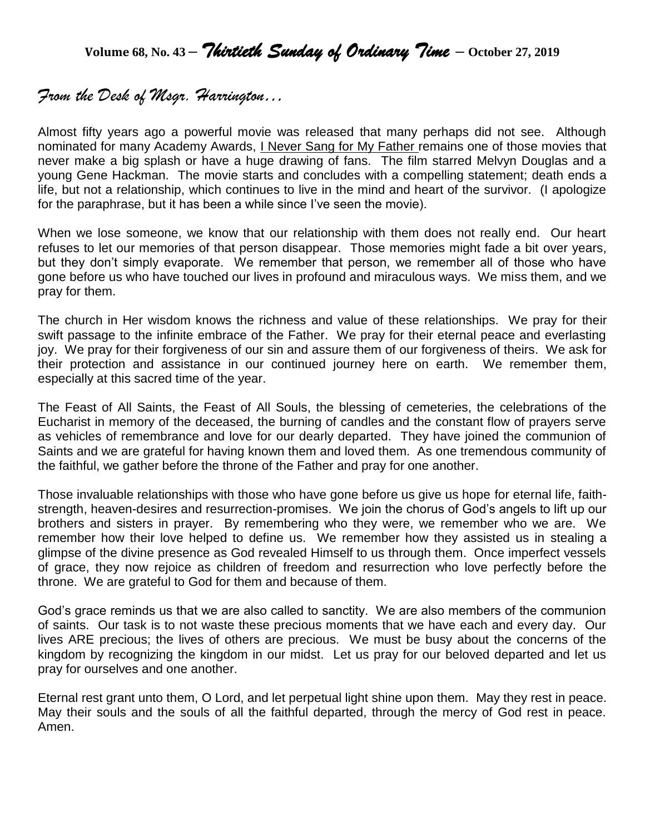**Volume 68, No. 43 –** *Thirtieth Sunday of Ordinary Time* **– October 27, <sup>2019</sup>**

## *From the Desk of Msgr. Harrington…*

Almost fifty years ago a powerful movie was released that many perhaps did not see. Although nominated for many Academy Awards, I Never Sang for My Father remains one of those movies that never make a big splash or have a huge drawing of fans. The film starred Melvyn Douglas and a young Gene Hackman. The movie starts and concludes with a compelling statement; death ends a life, but not a relationship, which continues to live in the mind and heart of the survivor. (I apologize for the paraphrase, but it has been a while since I've seen the movie).

When we lose someone, we know that our relationship with them does not really end. Our heart refuses to let our memories of that person disappear. Those memories might fade a bit over years, but they don't simply evaporate. We remember that person, we remember all of those who have gone before us who have touched our lives in profound and miraculous ways. We miss them, and we pray for them.

The church in Her wisdom knows the richness and value of these relationships. We pray for their swift passage to the infinite embrace of the Father. We pray for their eternal peace and everlasting joy. We pray for their forgiveness of our sin and assure them of our forgiveness of theirs. We ask for their protection and assistance in our continued journey here on earth. We remember them, especially at this sacred time of the year.

The Feast of All Saints, the Feast of All Souls, the blessing of cemeteries, the celebrations of the Eucharist in memory of the deceased, the burning of candles and the constant flow of prayers serve as vehicles of remembrance and love for our dearly departed. They have joined the communion of Saints and we are grateful for having known them and loved them. As one tremendous community of the faithful, we gather before the throne of the Father and pray for one another.

Those invaluable relationships with those who have gone before us give us hope for eternal life, faithstrength, heaven-desires and resurrection-promises. We join the chorus of God's angels to lift up our brothers and sisters in prayer. By remembering who they were, we remember who we are. We remember how their love helped to define us. We remember how they assisted us in stealing a glimpse of the divine presence as God revealed Himself to us through them. Once imperfect vessels of grace, they now rejoice as children of freedom and resurrection who love perfectly before the throne. We are grateful to God for them and because of them.

God's grace reminds us that we are also called to sanctity. We are also members of the communion of saints. Our task is to not waste these precious moments that we have each and every day. Our lives ARE precious; the lives of others are precious. We must be busy about the concerns of the kingdom by recognizing the kingdom in our midst. Let us pray for our beloved departed and let us pray for ourselves and one another.

Eternal rest grant unto them, O Lord, and let perpetual light shine upon them. May they rest in peace. May their souls and the souls of all the faithful departed, through the mercy of God rest in peace. Amen.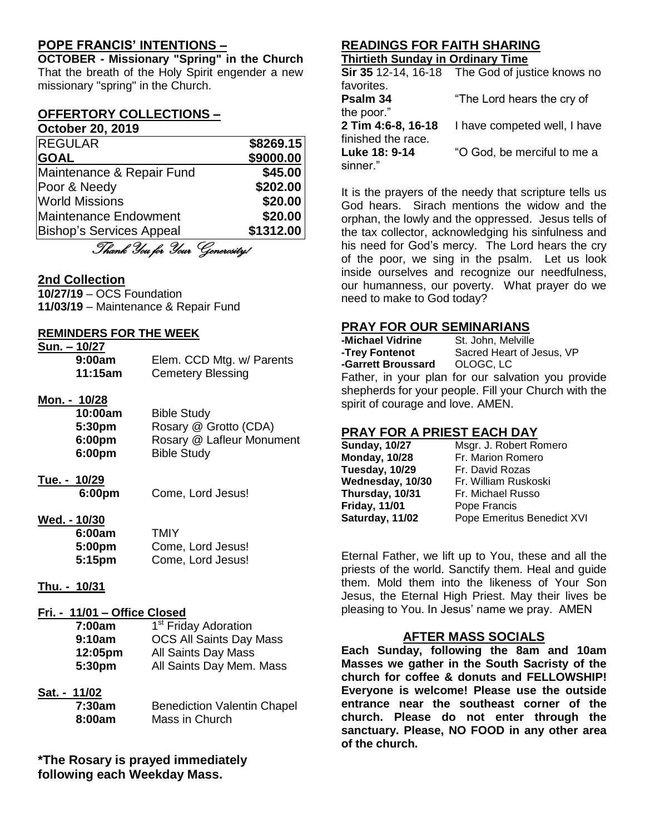## **POPE FRANCIS' INTENTIONS –**

**OCTOBER - Missionary "Spring" in the Church** That the breath of the Holy Spirit engender a new missionary "spring" in the Church.

## **OFFERTORY COLLECTIONS –**

## **October 20, 2019** REGULAR **\$8269.15**

| <b>GOAL</b>                     | \$9000.00 |
|---------------------------------|-----------|
| Maintenance & Repair Fund       | \$45.00   |
| Poor & Needy                    | \$202.00  |
| <b>World Missions</b>           | \$20.00   |
| Maintenance Endowment           | \$20.00   |
| <b>Bishop's Services Appeal</b> | \$1312.00 |

Thank You for Your Generosity!

## **2nd Collection**

**10/27/19** – OCS Foundation **11/03/19** – Maintenance & Repair Fund

## **REMINDERS FOR THE WEEK**

## **Sun. – 10/27**

| 9:00am  | Elem. CCD Mtg. w/ Parents |
|---------|---------------------------|
| 11:15am | <b>Cemetery Blessing</b>  |

#### **Mon. - 10/28**

| 10:00am | <b>Bible Study</b>        |
|---------|---------------------------|
| 5:30pm  | Rosary @ Grotto (CDA)     |
| 6:00pm  | Rosary @ Lafleur Monument |
| 6:00pm  | <b>Bible Study</b>        |
|         |                           |

- **Tue. - 10/29**
	- **6:00pm** Come, Lord Jesus!

#### **Wed. - 10/30**

| 6:00am | TMIY              |
|--------|-------------------|
| 5:00pm | Come, Lord Jesus! |
| 5:15pm | Come, Lord Jesus! |

**Thu. - 10/31**

## **Fri. - 11/01 – Office Closed**

| 7:00am             | 1 <sup>st</sup> Friday Adoration |
|--------------------|----------------------------------|
| 9:10am             | <b>OCS All Saints Day Mass</b>   |
| 12:05pm            | All Saints Day Mass              |
| 5:30 <sub>pm</sub> | All Saints Day Mem. Mass         |

**Sat. - 11/02**

| 7:30am | <b>Benediction Valentin Chapel</b> |
|--------|------------------------------------|
| 8:00am | Mass in Church                     |

**\*The Rosary is prayed immediately following each Weekday Mass.**

## **READINGS FOR FAITH SHARING**

## **Thirtieth Sunday in Ordinary Time**

|                    | Sir 35 12-14, 16-18 The God of justice knows no |
|--------------------|-------------------------------------------------|
| favorites.         |                                                 |
| Psalm 34           | "The Lord hears the cry of                      |
| the poor."         |                                                 |
| 2 Tim 4:6-8, 16-18 | I have competed well, I have                    |
| finished the race. |                                                 |
| Luke 18: 9-14      | "O God, be merciful to me a                     |
| sinner."           |                                                 |

It is the prayers of the needy that scripture tells us God hears. Sirach mentions the widow and the orphan, the lowly and the oppressed. Jesus tells of the tax collector, acknowledging his sinfulness and his need for God's mercy. The Lord hears the cry of the poor, we sing in the psalm. Let us look inside ourselves and recognize our needfulness, our humanness, our poverty. What prayer do we need to make to God today?

## **PRAY FOR OUR SEMINARIANS**

| -Michael Vidrine                                     | St. John, Melville                                 |  |
|------------------------------------------------------|----------------------------------------------------|--|
| -Trey Fontenot                                       | Sacred Heart of Jesus, VP                          |  |
| -Garrett Broussard OLOGC, LC                         |                                                    |  |
|                                                      | Father, in your plan for our salvation you provide |  |
| shepherds for your people. Fill your Church with the |                                                    |  |
| spirit of courage and love. AMEN.                    |                                                    |  |

## **PRAY FOR A PRIEST EACH DAY**

| <b>Sunday, 10/27</b> | Msgr. J. Robert Romero     |
|----------------------|----------------------------|
| <b>Monday, 10/28</b> | Fr. Marion Romero          |
| Tuesday, 10/29       | Fr. David Rozas            |
| Wednesday, 10/30     | Fr. William Ruskoski       |
| Thursday, 10/31      | Fr. Michael Russo          |
| <b>Friday, 11/01</b> | Pope Francis               |
| Saturday, 11/02      | Pope Emeritus Benedict XVI |

Eternal Father, we lift up to You, these and all the priests of the world. Sanctify them. Heal and guide them. Mold them into the likeness of Your Son Jesus, the Eternal High Priest. May their lives be pleasing to You. In Jesus' name we pray. AMEN

## **AFTER MASS SOCIALS**

**Each Sunday, following the 8am and 10am Masses we gather in the South Sacristy of the church for coffee & donuts and FELLOWSHIP! Everyone is welcome! Please use the outside entrance near the southeast corner of the church. Please do not enter through the sanctuary. Please, NO FOOD in any other area of the church.**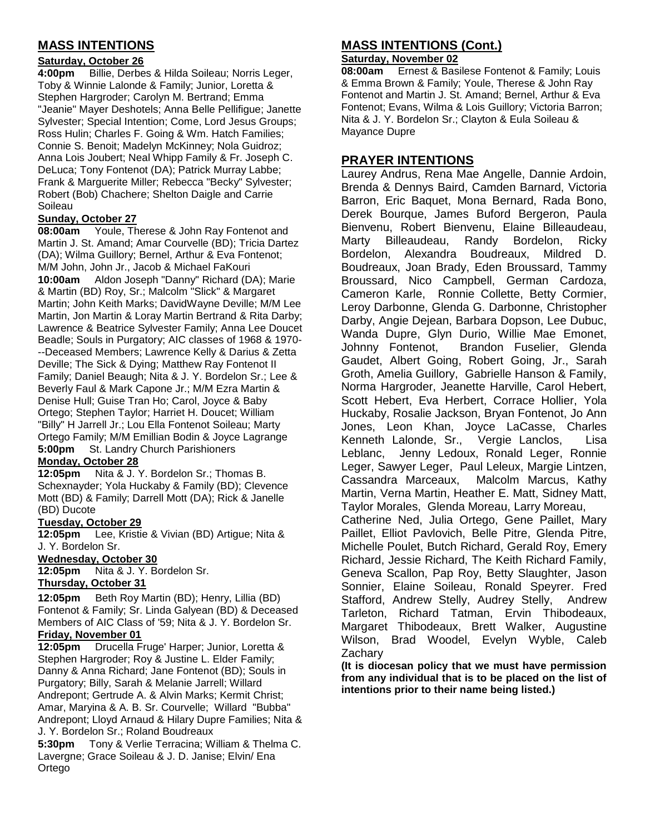## **MASS INTENTIONS**

## **Saturday, October 26**

**4:00pm** Billie, Derbes & Hilda Soileau; Norris Leger, Toby & Winnie Lalonde & Family; Junior, Loretta & Stephen Hargroder; Carolyn M. Bertrand; Emma "Jeanie" Mayer Deshotels; Anna Belle Pellifigue; Janette Sylvester; Special Intention; Come, Lord Jesus Groups; Ross Hulin; Charles F. Going & Wm. Hatch Families; Connie S. Benoit; Madelyn McKinney; Nola Guidroz; Anna Lois Joubert; Neal Whipp Family & Fr. Joseph C. DeLuca; Tony Fontenot (DA); Patrick Murray Labbe; Frank & Marguerite Miller; Rebecca "Becky" Sylvester; Robert (Bob) Chachere; Shelton Daigle and Carrie Soileau

#### **Sunday, October 27**

**08:00am** Youle, Therese & John Ray Fontenot and Martin J. St. Amand; Amar Courvelle (BD); Tricia Dartez (DA); Wilma Guillory; Bernel, Arthur & Eva Fontenot; M/M John, John Jr., Jacob & Michael FaKouri **10:00am** Aldon Joseph "Danny" Richard (DA); Marie & Martin (BD) Roy, Sr.; Malcolm "Slick" & Margaret Martin; John Keith Marks; DavidWayne Deville; M/M Lee Martin, Jon Martin & Loray Martin Bertrand & Rita Darby; Lawrence & Beatrice Sylvester Family; Anna Lee Doucet Beadle; Souls in Purgatory; AIC classes of 1968 & 1970- --Deceased Members; Lawrence Kelly & Darius & Zetta Deville; The Sick & Dying; Matthew Ray Fontenot II Family; Daniel Beaugh; Nita & J. Y. Bordelon Sr.; Lee & Beverly Faul & Mark Capone Jr.; M/M Ezra Martin & Denise Hull; Guise Tran Ho; Carol, Joyce & Baby Ortego; Stephen Taylor; Harriet H. Doucet; William "Billy" H Jarrell Jr.; Lou Ella Fontenot Soileau; Marty Ortego Family; M/M Emillian Bodin & Joyce Lagrange **5:00pm** St. Landry Church Parishioners

#### **Monday, October 28**

**12:05pm** Nita & J. Y. Bordelon Sr.; Thomas B. Schexnayder; Yola Huckaby & Family (BD); Clevence Mott (BD) & Family; Darrell Mott (DA); Rick & Janelle (BD) Ducote

#### **Tuesday, October 29**

**12:05pm** Lee, Kristie & Vivian (BD) Artigue; Nita & J. Y. Bordelon Sr.

#### **Wednesday, October 30**

**12:05pm** Nita & J. Y. Bordelon Sr. **Thursday, October 31**

**12:05pm** Beth Roy Martin (BD); Henry, Lillia (BD) Fontenot & Family; Sr. Linda Galyean (BD) & Deceased Members of AIC Class of '59; Nita & J. Y. Bordelon Sr. **Friday, November 01**

**12:05pm** Drucella Fruge' Harper; Junior, Loretta & Stephen Hargroder; Roy & Justine L. Elder Family; Danny & Anna Richard; Jane Fontenot (BD); Souls in Purgatory; Billy, Sarah & Melanie Jarrell; Willard Andrepont; Gertrude A. & Alvin Marks; Kermit Christ; Amar, Maryina & A. B. Sr. Courvelle; Willard "Bubba" Andrepont; Lloyd Arnaud & Hilary Dupre Families; Nita & J. Y. Bordelon Sr.; Roland Boudreaux

**5:30pm** Tony & Verlie Terracina; William & Thelma C. Lavergne; Grace Soileau & J. D. Janise; Elvin/ Ena Ortego

## **MASS INTENTIONS (Cont.)**

#### **Saturday, November 02**

**08:00am** Ernest & Basilese Fontenot & Family; Louis & Emma Brown & Family; Youle, Therese & John Ray Fontenot and Martin J. St. Amand; Bernel, Arthur & Eva Fontenot; Evans, Wilma & Lois Guillory; Victoria Barron; Nita & J. Y. Bordelon Sr.; Clayton & Eula Soileau & Mayance Dupre

## **PRAYER INTENTIONS**

Laurey Andrus, Rena Mae Angelle, Dannie Ardoin, Brenda & Dennys Baird, Camden Barnard, Victoria Barron, Eric Baquet, Mona Bernard, Rada Bono, Derek Bourque, James Buford Bergeron, Paula Bienvenu, Robert Bienvenu, Elaine Billeaudeau, Marty Billeaudeau, Randy Bordelon, Ricky Bordelon, Alexandra Boudreaux, Mildred D. Boudreaux, Joan Brady, Eden Broussard, Tammy Broussard, Nico Campbell, German Cardoza, Cameron Karle, Ronnie Collette, Betty Cormier, Leroy Darbonne, Glenda G. Darbonne, Christopher Darby, Angie Dejean, Barbara Dopson, Lee Dubuc, Wanda Dupre, Glyn Durio, Willie Mae Emonet, Johnny Fontenot, Brandon Fuselier, Glenda Gaudet, Albert Going, Robert Going, Jr., Sarah Groth, Amelia Guillory, Gabrielle Hanson & Family, Norma Hargroder, Jeanette Harville, Carol Hebert, Scott Hebert, Eva Herbert, Corrace Hollier, Yola Huckaby, Rosalie Jackson, Bryan Fontenot, Jo Ann Jones, Leon Khan, Joyce LaCasse, Charles Kenneth Lalonde, Sr., Vergie Lanclos, Lisa Leblanc, Jenny Ledoux, Ronald Leger, Ronnie Leger, Sawyer Leger, Paul Leleux, Margie Lintzen, Cassandra Marceaux, Malcolm Marcus, Kathy Martin, Verna Martin, Heather E. Matt, Sidney Matt, Taylor Morales, Glenda Moreau, Larry Moreau, Catherine Ned, Julia Ortego, Gene Paillet, Mary Paillet, Elliot Pavlovich, Belle Pitre, Glenda Pitre, Michelle Poulet, Butch Richard, Gerald Roy, Emery Richard, Jessie Richard, The Keith Richard Family, Geneva Scallon, Pap Roy, Betty Slaughter, Jason Sonnier, Elaine Soileau, Ronald Speyrer. Fred Stafford, Andrew Stelly, Audrey Stelly, Andrew Tarleton, Richard Tatman, Ervin Thibodeaux, Margaret Thibodeaux, Brett Walker, Augustine Wilson, Brad Woodel, Evelyn Wyble, Caleb **Zacharv** 

**(It is diocesan policy that we must have permission from any individual that is to be placed on the list of intentions prior to their name being listed.)**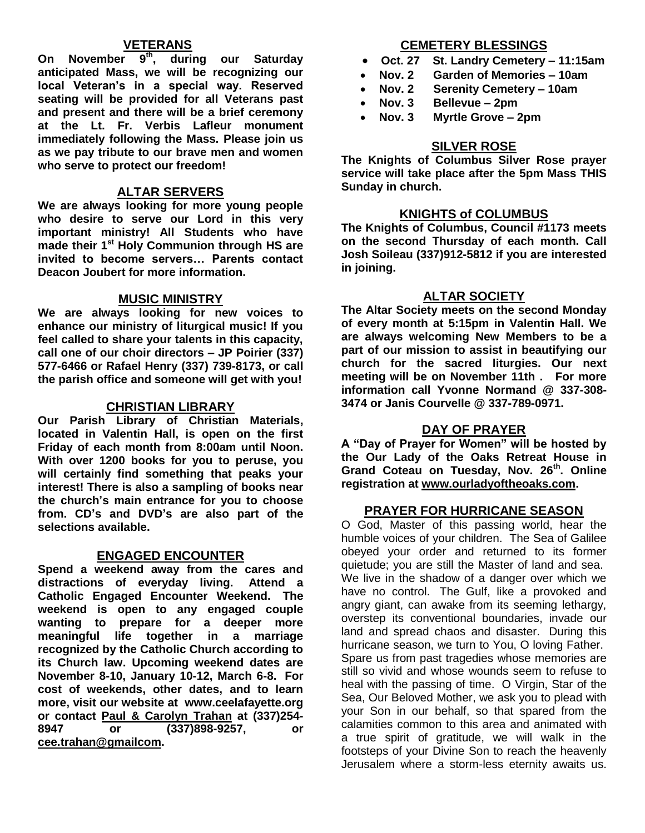## **VETERANS**

**On November 9th, during our Saturday anticipated Mass, we will be recognizing our local Veteran's in a special way. Reserved seating will be provided for all Veterans past and present and there will be a brief ceremony at the Lt. Fr. Verbis Lafleur monument immediately following the Mass. Please join us as we pay tribute to our brave men and women who serve to protect our freedom!**

## **ALTAR SERVERS**

**We are always looking for more young people who desire to serve our Lord in this very important ministry! All Students who have made their 1st Holy Communion through HS are invited to become servers… Parents contact Deacon Joubert for more information.**

## **MUSIC MINISTRY**

**We are always looking for new voices to enhance our ministry of liturgical music! If you feel called to share your talents in this capacity, call one of our choir directors – JP Poirier (337) 577-6466 or Rafael Henry (337) 739-8173, or call the parish office and someone will get with you!**

## **CHRISTIAN LIBRARY**

**Our Parish Library of Christian Materials, located in Valentin Hall, is open on the first Friday of each month from 8:00am until Noon. With over 1200 books for you to peruse, you will certainly find something that peaks your interest! There is also a sampling of books near the church's main entrance for you to choose from. CD's and DVD's are also part of the selections available.** 

#### **ENGAGED ENCOUNTER**

**Spend a weekend away from the cares and distractions of everyday living. Attend a Catholic Engaged Encounter Weekend. The weekend is open to any engaged couple wanting to prepare for a deeper more meaningful life together in a marriage recognized by the Catholic Church according to its Church law. Upcoming weekend dates are November 8-10, January 10-12, March 6-8. For cost of weekends, other dates, and to learn more, visit our website at www.ceelafayette.org or contact Paul & Carolyn Trahan at (337)254- 8947 or (337)898-9257, or [cee.trahan@gmailcom.](mailto:cee.trahan@gmailcom)**

## **CEMETERY BLESSINGS**

- **Oct. 27 St. Landry Cemetery – 11:15am**
- **Nov. 2 Garden of Memories – 10am**
	- **Nov. 2 Serenity Cemetery – 10am**
- **Nov. 3 Bellevue – 2pm**
- **Nov. 3 Myrtle Grove – 2pm**

## **SILVER ROSE**

**The Knights of Columbus Silver Rose prayer service will take place after the 5pm Mass THIS Sunday in church.**

## **KNIGHTS of COLUMBUS**

**The Knights of Columbus, Council #1173 meets on the second Thursday of each month. Call Josh Soileau (337)912-5812 if you are interested in joining.** 

## **ALTAR SOCIETY**

**The Altar Society meets on the second Monday of every month at 5:15pm in Valentin Hall. We are always welcoming New Members to be a part of our mission to assist in beautifying our church for the sacred liturgies. Our next meeting will be on November 11th . For more information call Yvonne Normand @ 337-308- 3474 or Janis Courvelle @ 337-789-0971.** 

## **DAY OF PRAYER**

**A "Day of Prayer for Women" will be hosted by the Our Lady of the Oaks Retreat House in Grand Coteau on Tuesday, Nov. 26th. Online registration at [www.ourladyoftheoaks.com.](http://www.ourladyoftheoaks.com/)**

## **PRAYER FOR HURRICANE SEASON**

O God, Master of this passing world, hear the humble voices of your children. The Sea of Galilee obeyed your order and returned to its former quietude; you are still the Master of land and sea. We live in the shadow of a danger over which we have no control. The Gulf, like a provoked and angry giant, can awake from its seeming lethargy, overstep its conventional boundaries, invade our land and spread chaos and disaster. During this hurricane season, we turn to You, O loving Father. Spare us from past tragedies whose memories are still so vivid and whose wounds seem to refuse to heal with the passing of time. O Virgin, Star of the Sea, Our Beloved Mother, we ask you to plead with your Son in our behalf, so that spared from the calamities common to this area and animated with a true spirit of gratitude, we will walk in the footsteps of your Divine Son to reach the heavenly Jerusalem where a storm-less eternity awaits us.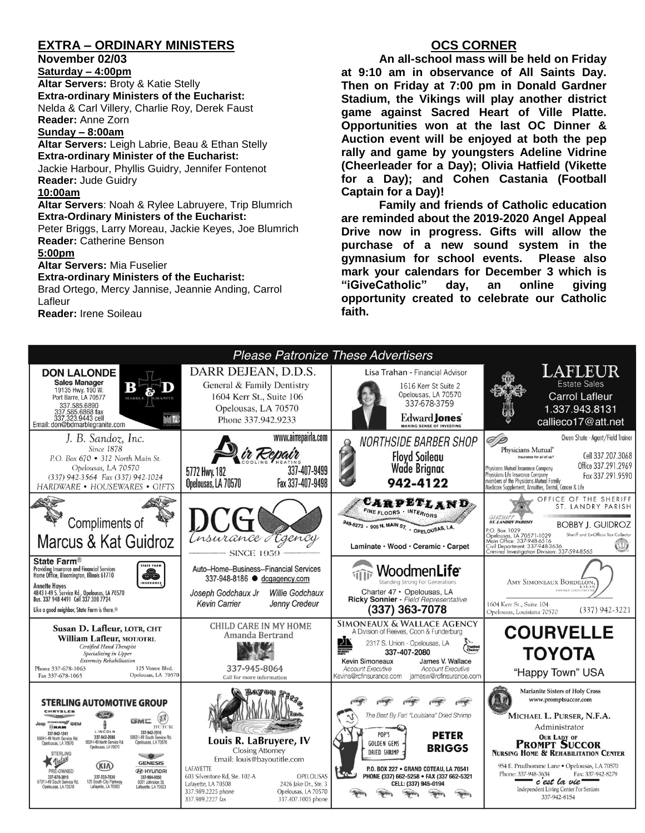## **EXTRA – ORDINARY MINISTERS**

**November 02/03**

**Saturday – 4:00pm Altar Servers:** Broty & Katie Stelly **Extra-ordinary Ministers of the Eucharist:**  Nelda & Carl Villery, Charlie Roy, Derek Faust **Reader:** Anne Zorn

## **Sunday – 8:00am**

**Altar Servers:** Leigh Labrie, Beau & Ethan Stelly **Extra-ordinary Minister of the Eucharist:** Jackie Harbour, Phyllis Guidry, Jennifer Fontenot

**Reader:** Jude Guidry

#### **10:00am**

**Altar Servers**: Noah & Rylee Labruyere, Trip Blumrich **Extra-Ordinary Ministers of the Eucharist:**

Peter Briggs, Larry Moreau, Jackie Keyes, Joe Blumrich **Reader:** Catherine Benson

#### **5:00pm**

**Altar Servers:** Mia Fuselier

#### **Extra-ordinary Ministers of the Eucharist:**

Brad Ortego, Mercy Jannise, Jeannie Anding, Carrol Lafleur

**Reader:** Irene Soileau

## **OCS CORNER**

**An all-school mass will be held on Friday at 9:10 am in observance of All Saints Day. Then on Friday at 7:00 pm in Donald Gardner Stadium, the Vikings will play another district game against Sacred Heart of Ville Platte. Opportunities won at the last OC Dinner & Auction event will be enjoyed at both the pep rally and game by youngsters Adeline Vidrine (Cheerleader for a Day); Olivia Hatfield (Vikette for a Day); and Cohen Castania (Football Captain for a Day)!**

**Family and friends of Catholic education are reminded about the 2019-2020 Angel Appeal Drive now in progress. Gifts will allow the purchase of a new sound system in the gymnasium for school events. Please also mark your calendars for December 3 which is "iGiveCatholic" day, an online giving opportunity created to celebrate our Catholic faith.**